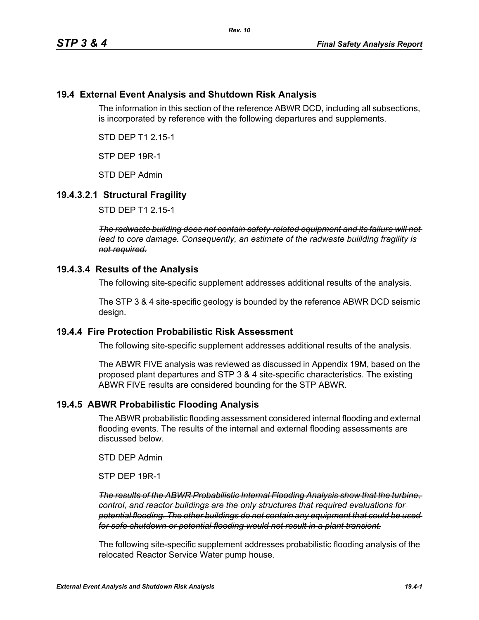## **19.4 External Event Analysis and Shutdown Risk Analysis**

The information in this section of the reference ABWR DCD, including all subsections, is incorporated by reference with the following departures and supplements.

STD DEP T1 2.15-1

STP DEP 19R-1

STD DEP Admin

# **19.4.3.2.1 Structural Fragility**

STD DEP T1 2.15-1

*The radwaste building does not contain safety-related equipment and its failure will not lead to core damage. Consequently, an estimate of the radwaste buiilding fragility is not required.*

### **19.4.3.4 Results of the Analysis**

The following site-specific supplement addresses additional results of the analysis.

The STP 3 & 4 site-specific geology is bounded by the reference ABWR DCD seismic design.

### **19.4.4 Fire Protection Probabilistic Risk Assessment**

The following site-specific supplement addresses additional results of the analysis.

The ABWR FIVE analysis was reviewed as discussed in Appendix 19M, based on the proposed plant departures and STP 3 & 4 site-specific characteristics. The existing ABWR FIVE results are considered bounding for the STP ABWR.

## **19.4.5 ABWR Probabilistic Flooding Analysis**

The ABWR probabilistic flooding assessment considered internal flooding and external flooding events. The results of the internal and external flooding assessments are discussed below.

STD DEP Admin

STP DEP 19R-1

*The results of the ABWR Probabilistic Internal Flooding Analysis show that the turbine, control, and reactor buildings are the only structures that required evaluations for potential flooding. The other buildings do not contain any equipment that could be used for safe shutdown or potential flooding would not result in a plant transient.*

The following site-specific supplement addresses probabilistic flooding analysis of the relocated Reactor Service Water pump house.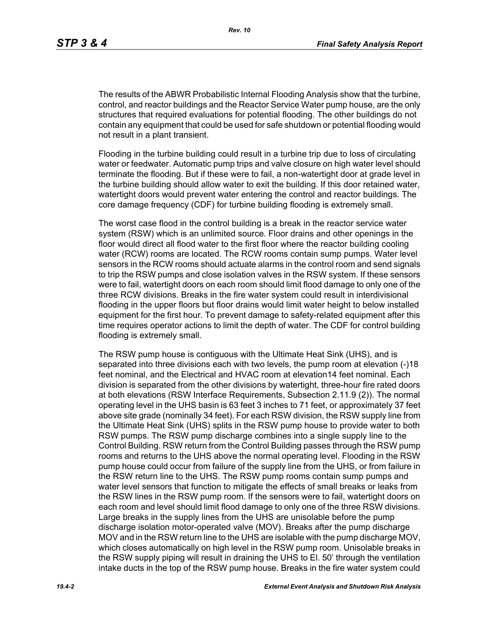The results of the ABWR Probabilistic Internal Flooding Analysis show that the turbine, control, and reactor buildings and the Reactor Service Water pump house, are the only structures that required evaluations for potential flooding. The other buildings do not contain any equipment that could be used for safe shutdown or potential flooding would not result in a plant transient.

Flooding in the turbine building could result in a turbine trip due to loss of circulating water or feedwater. Automatic pump trips and valve closure on high water level should terminate the flooding. But if these were to fail, a non-watertight door at grade level in the turbine building should allow water to exit the building. If this door retained water, watertight doors would prevent water entering the control and reactor buildings. The core damage frequency (CDF) for turbine building flooding is extremely small.

The worst case flood in the control building is a break in the reactor service water system (RSW) which is an unlimited source. Floor drains and other openings in the floor would direct all flood water to the first floor where the reactor building cooling water (RCW) rooms are located. The RCW rooms contain sump pumps. Water level sensors in the RCW rooms should actuate alarms in the control room and send signals to trip the RSW pumps and close isolation valves in the RSW system. If these sensors were to fail, watertight doors on each room should limit flood damage to only one of the three RCW divisions. Breaks in the fire water system could result in interdivisional flooding in the upper floors but floor drains would limit water height to below installed equipment for the first hour. To prevent damage to safety-related equipment after this time requires operator actions to limit the depth of water. The CDF for control building flooding is extremely small.

The RSW pump house is contiguous with the Ultimate Heat Sink (UHS), and is separated into three divisions each with two levels, the pump room at elevation (-)18 feet nominal, and the Electrical and HVAC room at elevation14 feet nominal. Each division is separated from the other divisions by watertight, three-hour fire rated doors at both elevations (RSW Interface Requirements, Subsection 2.11.9 (2)). The normal operating level in the UHS basin is 63 feet 3 inches to 71 feet, or approximately 37 feet above site grade (nominally 34 feet). For each RSW division, the RSW supply line from the Ultimate Heat Sink (UHS) splits in the RSW pump house to provide water to both RSW pumps. The RSW pump discharge combines into a single supply line to the Control Building. RSW return from the Control Building passes through the RSW pump rooms and returns to the UHS above the normal operating level. Flooding in the RSW pump house could occur from failure of the supply line from the UHS, or from failure in the RSW return line to the UHS. The RSW pump rooms contain sump pumps and water level sensors that function to mitigate the effects of small breaks or leaks from the RSW lines in the RSW pump room. If the sensors were to fail, watertight doors on each room and level should limit flood damage to only one of the three RSW divisions. Large breaks in the supply lines from the UHS are unisolable before the pump discharge isolation motor-operated valve (MOV). Breaks after the pump discharge MOV and in the RSW return line to the UHS are isolable with the pump discharge MOV, which closes automatically on high level in the RSW pump room. Unisolable breaks in the RSW supply piping will result in draining the UHS to El. 50' through the ventilation intake ducts in the top of the RSW pump house. Breaks in the fire water system could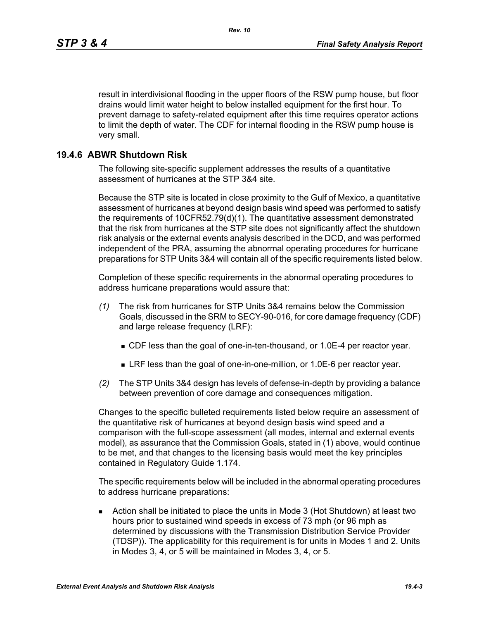result in interdivisional flooding in the upper floors of the RSW pump house, but floor drains would limit water height to below installed equipment for the first hour. To prevent damage to safety-related equipment after this time requires operator actions to limit the depth of water. The CDF for internal flooding in the RSW pump house is very small.

# **19.4.6 ABWR Shutdown Risk**

The following site-specific supplement addresses the results of a quantitative assessment of hurricanes at the STP 3&4 site.

Because the STP site is located in close proximity to the Gulf of Mexico, a quantitative assessment of hurricanes at beyond design basis wind speed was performed to satisfy the requirements of 10CFR52.79(d)(1). The quantitative assessment demonstrated that the risk from hurricanes at the STP site does not significantly affect the shutdown risk analysis or the external events analysis described in the DCD, and was performed independent of the PRA, assuming the abnormal operating procedures for hurricane preparations for STP Units 3&4 will contain all of the specific requirements listed below.

Completion of these specific requirements in the abnormal operating procedures to address hurricane preparations would assure that:

- *(1)* The risk from hurricanes for STP Units 3&4 remains below the Commission Goals, discussed in the SRM to SECY-90-016, for core damage frequency (CDF) and large release frequency (LRF):
	- CDF less than the goal of one-in-ten-thousand, or 1.0E-4 per reactor year.
	- LRF less than the goal of one-in-one-million, or 1.0E-6 per reactor year.
- *(2)* The STP Units 3&4 design has levels of defense-in-depth by providing a balance between prevention of core damage and consequences mitigation.

Changes to the specific bulleted requirements listed below require an assessment of the quantitative risk of hurricanes at beyond design basis wind speed and a comparison with the full-scope assessment (all modes, internal and external events model), as assurance that the Commission Goals, stated in (1) above, would continue to be met, and that changes to the licensing basis would meet the key principles contained in Regulatory Guide 1.174.

The specific requirements below will be included in the abnormal operating procedures to address hurricane preparations:

 Action shall be initiated to place the units in Mode 3 (Hot Shutdown) at least two hours prior to sustained wind speeds in excess of 73 mph (or 96 mph as determined by discussions with the Transmission Distribution Service Provider (TDSP)). The applicability for this requirement is for units in Modes 1 and 2. Units in Modes 3, 4, or 5 will be maintained in Modes 3, 4, or 5.